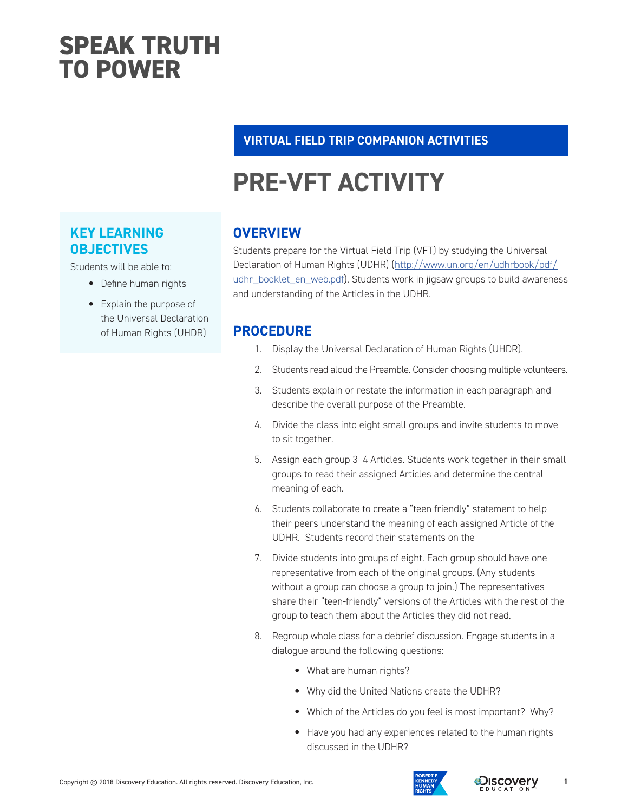### **SPEAK TRUTH TO POWER**

#### **VIRTUAL FIELD TRIP COMPANION ACTIVITIES**

## **PRE-VFT ACTIVITY**

### **KEY LEARNING OBJECTIVES**

Students will be able to:

- Define human rights
- Explain the purpose of the Universal Declaration of Human Rights (UHDR)

#### **OVERVIEW**

Students prepare for the Virtual Field Trip (VFT) by studying the Universal Declaration of Human Rights (UDHR) ([http://www.un.org/en/udhrbook/pdf/](http://www.un.org/en/udhrbook/pdf/udhr_booklet_en_web.pdf) [udhr\\_booklet\\_en\\_web.pdf](http://www.un.org/en/udhrbook/pdf/udhr_booklet_en_web.pdf)). Students work in jigsaw groups to build awareness and understanding of the Articles in the UDHR.

#### **PROCEDURE**

- 1. Display the Universal Declaration of Human Rights (UHDR).
- 2. Students read aloud the Preamble. Consider choosing multiple volunteers.
- 3. Students explain or restate the information in each paragraph and describe the overall purpose of the Preamble.
- 4. Divide the class into eight small groups and invite students to move to sit together.
- 5. Assign each group 3–4 Articles. Students work together in their small groups to read their assigned Articles and determine the central meaning of each.
- 6. Students collaborate to create a "teen friendly" statement to help their peers understand the meaning of each assigned Article of the UDHR. Students record their statements on the
- 7. Divide students into groups of eight. Each group should have one representative from each of the original groups. (Any students without a group can choose a group to join.) The representatives share their "teen-friendly" versions of the Articles with the rest of the group to teach them about the Articles they did not read.
- 8. Regroup whole class for a debrief discussion. Engage students in a dialogue around the following questions:
	- What are human rights?
	- Why did the United Nations create the UDHR?
	- Which of the Articles do you feel is most important? Why?
	- Have you had any experiences related to the human rights discussed in the UDHR?



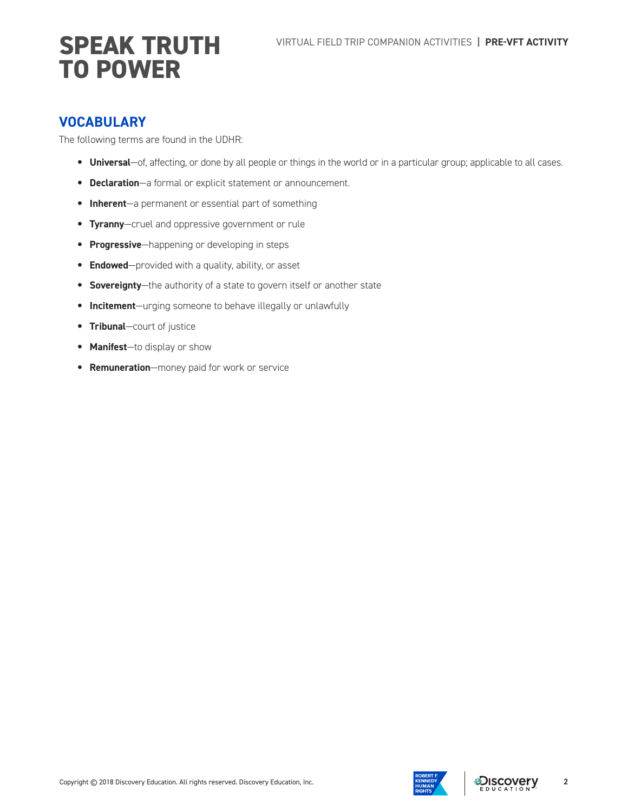#### **VOCABULARY**

The following terms are found in the UDHR:

- **Universal**—of, affecting, or done by all people or things in the world or in a particular group; applicable to all cases.
- **Declaration**—a formal or explicit statement or announcement.
- **Inherent**—a permanent or essential part of something
- **Tyranny**—cruel and oppressive government or rule
- **Progressive**—happening or developing in steps
- **Endowed**—provided with a quality, ability, or asset
- **Sovereignty**—the authority of a state to govern itself or another state
- **Incitement**—urging someone to behave illegally or unlawfully
- **Tribunal**—court of justice
- **Manifest**—to display or show
- **Remuneration**—money paid for work or service

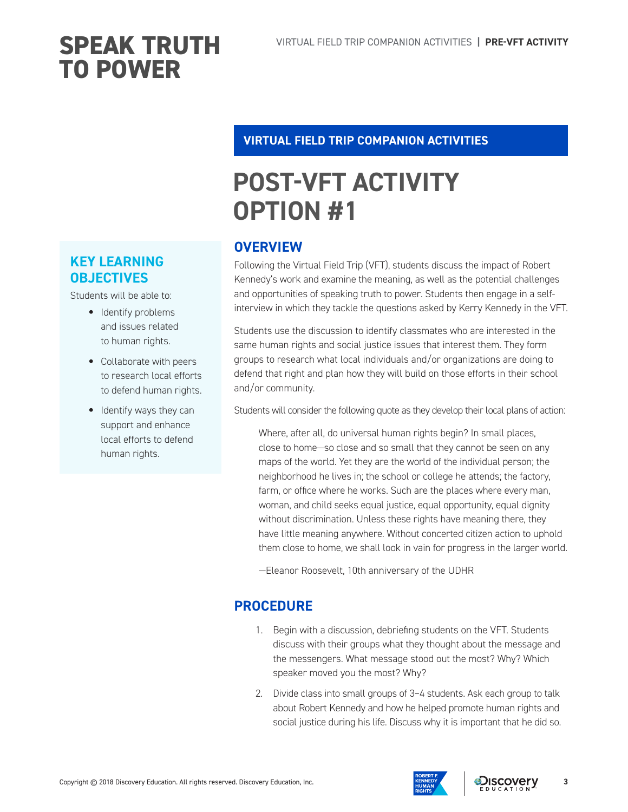#### **VIRTUAL FIELD TRIP COMPANION ACTIVITIES**

### **POST-VFT ACTIVITY OPTION #1**

#### **OVERVIEW**

Following the Virtual Field Trip (VFT), students discuss the impact of Robert Kennedy's work and examine the meaning, as well as the potential challenges and opportunities of speaking truth to power. Students then engage in a selfinterview in which they tackle the questions asked by Kerry Kennedy in the VFT.

Students use the discussion to identify classmates who are interested in the same human rights and social justice issues that interest them. They form groups to research what local individuals and/or organizations are doing to defend that right and plan how they will build on those efforts in their school and/or community.

Students will consider the following quote as they develop their local plans of action:

Where, after all, do universal human rights begin? In small places, close to home—so close and so small that they cannot be seen on any maps of the world. Yet they are the world of the individual person; the neighborhood he lives in; the school or college he attends; the factory, farm, or office where he works. Such are the places where every man, woman, and child seeks equal justice, equal opportunity, equal dignity without discrimination. Unless these rights have meaning there, they have little meaning anywhere. Without concerted citizen action to uphold them close to home, we shall look in vain for progress in the larger world.

—Eleanor Roosevelt, 10th anniversary of the UDHR

### **PROCEDURE**

- 1. Begin with a discussion, debriefing students on the VFT. Students discuss with their groups what they thought about the message and the messengers. What message stood out the most? Why? Which speaker moved you the most? Why?
- 2. Divide class into small groups of 3–4 students. Ask each group to talk about Robert Kennedy and how he helped promote human rights and social justice during his life. Discuss why it is important that he did so.

### **KEY LEARNING OBJECTIVES**

Students will be able to:

- Identify problems and issues related to human rights.
- Collaborate with peers to research local efforts to defend human rights.
- Identify ways they can support and enhance local efforts to defend human rights.

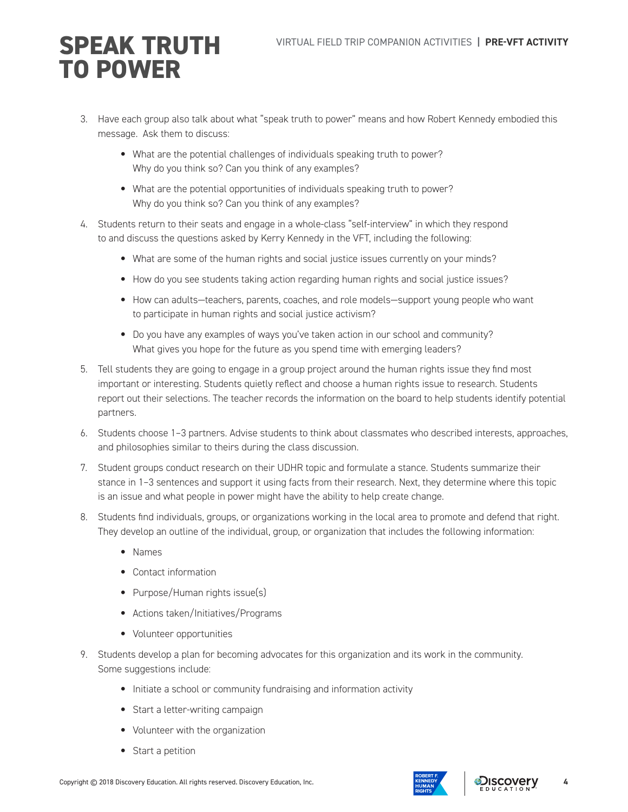- 3. Have each group also talk about what "speak truth to power" means and how Robert Kennedy embodied this message. Ask them to discuss:
	- What are the potential challenges of individuals speaking truth to power? Why do you think so? Can you think of any examples?
	- What are the potential opportunities of individuals speaking truth to power? Why do you think so? Can you think of any examples?
- 4. Students return to their seats and engage in a whole-class "self-interview" in which they respond to and discuss the questions asked by Kerry Kennedy in the VFT, including the following:
	- What are some of the human rights and social justice issues currently on your minds?
	- How do you see students taking action regarding human rights and social justice issues?
	- How can adults—teachers, parents, coaches, and role models—support young people who want to participate in human rights and social justice activism?
	- Do you have any examples of ways you've taken action in our school and community? What gives you hope for the future as you spend time with emerging leaders?
- 5. Tell students they are going to engage in a group project around the human rights issue they find most important or interesting. Students quietly reflect and choose a human rights issue to research. Students report out their selections. The teacher records the information on the board to help students identify potential partners.
- 6. Students choose 1–3 partners. Advise students to think about classmates who described interests, approaches, and philosophies similar to theirs during the class discussion.
- 7. Student groups conduct research on their UDHR topic and formulate a stance. Students summarize their stance in 1–3 sentences and support it using facts from their research. Next, they determine where this topic is an issue and what people in power might have the ability to help create change.
- 8. Students find individuals, groups, or organizations working in the local area to promote and defend that right. They develop an outline of the individual, group, or organization that includes the following information:
	- Names
	- Contact information
	- Purpose/Human rights issue(s)
	- Actions taken/Initiatives/Programs
	- Volunteer opportunities
- 9. Students develop a plan for becoming advocates for this organization and its work in the community. Some suggestions include:
	- Initiate a school or community fundraising and information activity
	- Start a letter-writing campaign
	- Volunteer with the organization
	- Start a petition

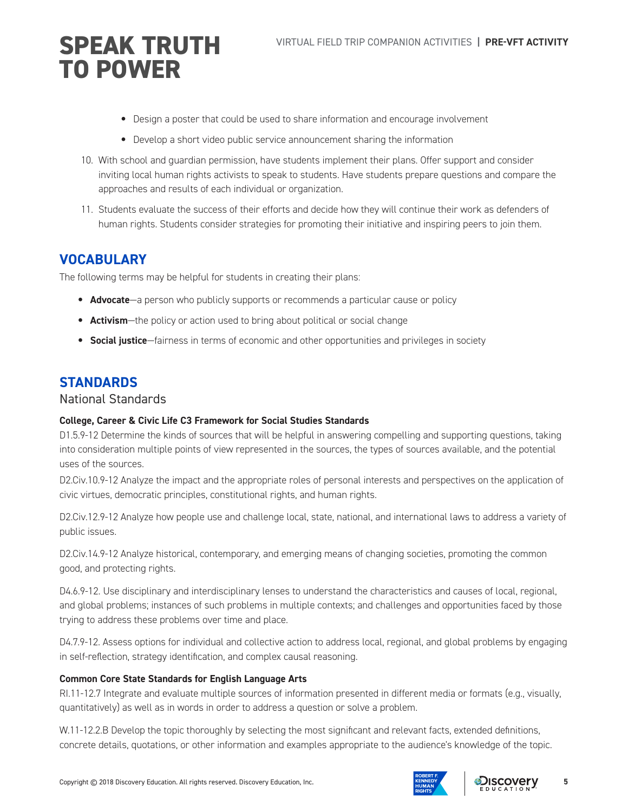- Design a poster that could be used to share information and encourage involvement
- Develop a short video public service announcement sharing the information
- 10. With school and guardian permission, have students implement their plans. Offer support and consider inviting local human rights activists to speak to students. Have students prepare questions and compare the approaches and results of each individual or organization.
- 11. Students evaluate the success of their efforts and decide how they will continue their work as defenders of human rights. Students consider strategies for promoting their initiative and inspiring peers to join them.

#### **VOCABULARY**

The following terms may be helpful for students in creating their plans:

- **Advocate**—a person who publicly supports or recommends a particular cause or policy
- **Activism**—the policy or action used to bring about political or social change
- **Social justice**—fairness in terms of economic and other opportunities and privileges in society

#### **STANDARDS**

#### National Standards

#### **College, Career & Civic Life C3 Framework for Social Studies Standards**

D1.5.9-12 Determine the kinds of sources that will be helpful in answering compelling and supporting questions, taking into consideration multiple points of view represented in the sources, the types of sources available, and the potential uses of the sources.

D2.Civ.10.9-12 Analyze the impact and the appropriate roles of personal interests and perspectives on the application of civic virtues, democratic principles, constitutional rights, and human rights.

D2.Civ.12.9-12 Analyze how people use and challenge local, state, national, and international laws to address a variety of public issues.

D2.Civ.14.9-12 Analyze historical, contemporary, and emerging means of changing societies, promoting the common good, and protecting rights.

D4.6.9-12. Use disciplinary and interdisciplinary lenses to understand the characteristics and causes of local, regional, and global problems; instances of such problems in multiple contexts; and challenges and opportunities faced by those trying to address these problems over time and place.

D4.7.9-12. Assess options for individual and collective action to address local, regional, and global problems by engaging in self-reflection, strategy identification, and complex causal reasoning.

#### **Common Core State Standards for English Language Arts**

RI.11-12.7 Integrate and evaluate multiple sources of information presented in different media or formats (e.g., visually, quantitatively) as well as in words in order to address a question or solve a problem.

W.11-12.2.B Develop the topic thoroughly by selecting the most significant and relevant facts, extended definitions, concrete details, quotations, or other information and examples appropriate to the audience's knowledge of the topic.



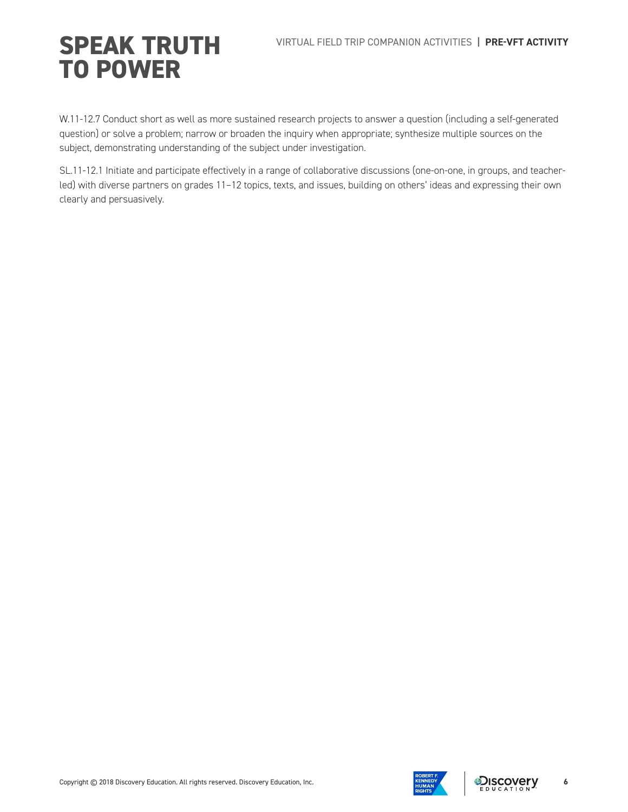W.11-12.7 Conduct short as well as more sustained research projects to answer a question (including a self-generated question) or solve a problem; narrow or broaden the inquiry when appropriate; synthesize multiple sources on the subject, demonstrating understanding of the subject under investigation.

SL.11-12.1 Initiate and participate effectively in a range of collaborative discussions (one-on-one, in groups, and teacherled) with diverse partners on grades 11–12 topics, texts, and issues, building on others' ideas and expressing their own clearly and persuasively.



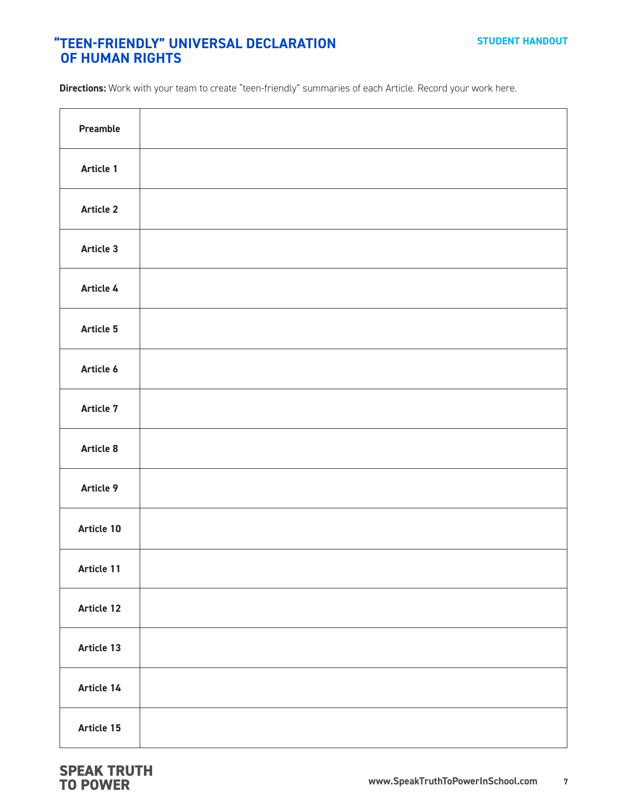#### **"TEEN-FRIENDLY" UNIVERSAL DECLARATION OF HUMAN RIGHTS**

**Directions:** Work with your team to create "teen-friendly" summaries of each Article. Record your work here.

| Preamble   |  |
|------------|--|
| Article 1  |  |
| Article 2  |  |
| Article 3  |  |
| Article 4  |  |
| Article 5  |  |
| Article 6  |  |
| Article 7  |  |
| Article 8  |  |
| Article 9  |  |
| Article 10 |  |
| Article 11 |  |
| Article 12 |  |
| Article 13 |  |
| Article 14 |  |
| Article 15 |  |